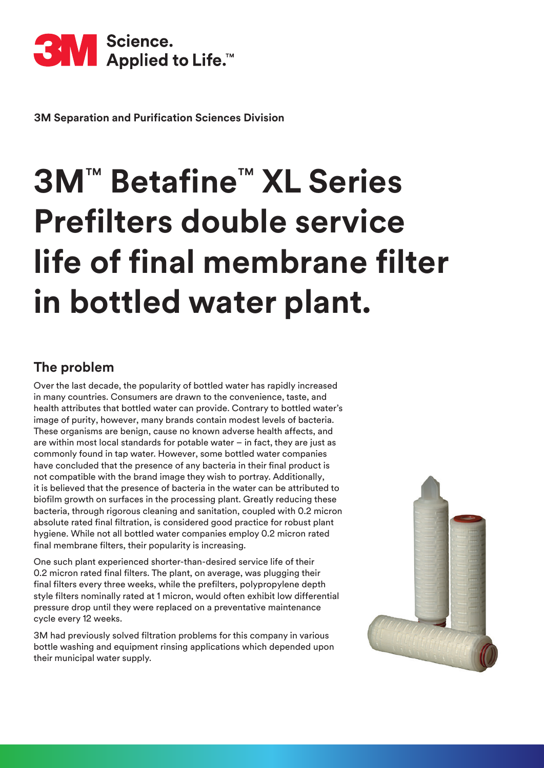

**3M Separation and Purification Sciences Division**

# **3M**™ **Betafine**™ **XL Series Prefilters double service life of final membrane filter in bottled water plant.**

#### **The problem**

Over the last decade, the popularity of bottled water has rapidly increased in many countries. Consumers are drawn to the convenience, taste, and health attributes that bottled water can provide. Contrary to bottled water's image of purity, however, many brands contain modest levels of bacteria. These organisms are benign, cause no known adverse health affects, and are within most local standards for potable water – in fact, they are just as commonly found in tap water. However, some bottled water companies have concluded that the presence of any bacteria in their final product is not compatible with the brand image they wish to portray. Additionally, it is believed that the presence of bacteria in the water can be attributed to biofilm growth on surfaces in the processing plant. Greatly reducing these bacteria, through rigorous cleaning and sanitation, coupled with 0.2 micron absolute rated final filtration, is considered good practice for robust plant hygiene. While not all bottled water companies employ 0.2 micron rated final membrane filters, their popularity is increasing.

One such plant experienced shorter-than-desired service life of their 0.2 micron rated final filters. The plant, on average, was plugging their final filters every three weeks, while the prefilters, polypropylene depth style filters nominally rated at 1 micron, would often exhibit low differential pressure drop until they were replaced on a preventative maintenance cycle every 12 weeks.

3M had previously solved filtration problems for this company in various bottle washing and equipment rinsing applications which depended upon their municipal water supply.